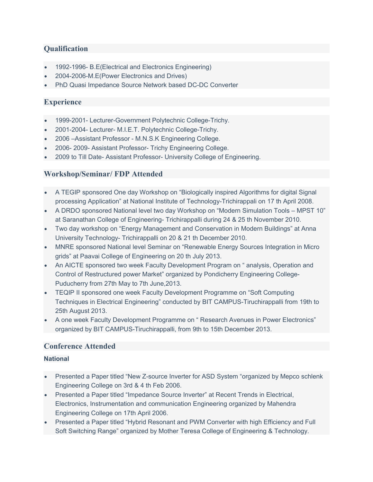# **Qualification**

- 1992-1996- B.E(Electrical and Electronics Engineering)
- 2004-2006-M.E(Power Electronics and Drives)
- PhD Quasi Impedance Source Network based DC-DC Converter

# **Experience**

- 1999-2001- Lecturer-Government Polytechnic College-Trichy.
- 2001-2004- Lecturer- M.I.E.T. Polytechnic College-Trichy.
- 2006 –Assistant Professor M.N.S.K Engineering College.
- 2006- 2009- Assistant Professor- Trichy Engineering College.
- 2009 to Till Date- Assistant Professor- University College of Engineering.

## Workshop/Seminar/ FDP Attended

- A TEGIP sponsored One day Workshop on "Biologically inspired Algorithms for digital Signal processing Application" at National Institute of Technology-Trichirappali on 17 th April 2008.
- A DRDO sponsored National level two day Workshop on "Modern Simulation Tools MPST 10" at Saranathan College of Engineering- Trichirappalli during 24 & 25 th November 2010.
- Two day workshop on "Energy Management and Conservation in Modern Buildings" at Anna University Technology- Trichirappalli on 20 & 21 th December 2010.
- MNRE sponsored National level Seminar on "Renewable Energy Sources Integration in Micro grids" at Paavai College of Engineering on 20 th July 2013.
- An AICTE sponsored two week Faculty Development Program on " analysis, Operation and Control of Restructured power Market" organized by Pondicherry Engineering College-Puducherry from 27th May to 7th June,2013.
- TEQIP II sponsored one week Faculty Development Programme on "Soft Computing Techniques in Electrical Engineering" conducted by BIT CAMPUS-Tiruchirappalli from 19th to 25th August 2013.
- A one week Faculty Development Programme on " Research Avenues in Power Electronics" organized by BIT CAMPUS-Tiruchirappalli, from 9th to 15th December 2013.

# Conference Attended

## National

- Presented a Paper titled "New Z-source Inverter for ASD System "organized by Mepco schlenk Engineering College on 3rd & 4 th Feb 2006.
- Presented a Paper titled "Impedance Source Inverter" at Recent Trends in Electrical, Electronics, Instrumentation and communication Engineering organized by Mahendra Engineering College on 17th April 2006.
- Presented a Paper titled "Hybrid Resonant and PWM Converter with high Efficiency and Full Soft Switching Range" organized by Mother Teresa College of Engineering & Technology.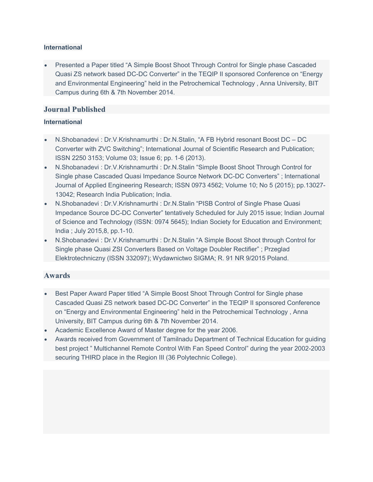#### International

 Presented a Paper titled "A Simple Boost Shoot Through Control for Single phase Cascaded Quasi ZS network based DC-DC Converter" in the TEQIP II sponsored Conference on "Energy and Environmental Engineering" held in the Petrochemical Technology , Anna University, BIT Campus during 6th & 7th November 2014.

# Journal Published

## International

- N.Shobanadevi : Dr.V.Krishnamurthi : Dr.N.Stalin, "A FB Hybrid resonant Boost DC DC Converter with ZVC Switching"; International Journal of Scientific Research and Publication; ISSN 2250 3153; Volume 03; Issue 6; pp. 1-6 (2013).
- N.Shobanadevi : Dr.V.Krishnamurthi : Dr.N.Stalin "Simple Boost Shoot Through Control for Single phase Cascaded Quasi Impedance Source Network DC-DC Converters" ; International Journal of Applied Engineering Research; ISSN 0973 4562; Volume 10; No 5 (2015); pp.13027- 13042; Research India Publication; India.
- N.Shobanadevi : Dr.V.Krishnamurthi : Dr.N.Stalin "PISB Control of Single Phase Quasi Impedance Source DC-DC Converter" tentatively Scheduled for July 2015 issue; Indian Journal of Science and Technology (ISSN: 0974 5645); Indian Society for Education and Environment; India ; July 2015,8, pp.1-10.
- N.Shobanadevi : Dr.V.Krishnamurthi : Dr.N.Stalin "A Simple Boost Shoot through Control for Single phase Quasi ZSI Converters Based on Voltage Doubler Rectifier" ; Przeglad Elektrotechniczny (ISSN 332097); Wydawnictwo SIGMA; R. 91 NR 9/2015 Poland.

# Awards

- Best Paper Award Paper titled "A Simple Boost Shoot Through Control for Single phase Cascaded Quasi ZS network based DC-DC Converter" in the TEQIP II sponsored Conference on "Energy and Environmental Engineering" held in the Petrochemical Technology , Anna University, BIT Campus during 6th & 7th November 2014.
- Academic Excellence Award of Master degree for the year 2006.
- Awards received from Government of Tamilnadu Department of Technical Education for guiding best project " Multichannel Remote Control With Fan Speed Control" during the year 2002-2003 securing THIRD place in the Region III (36 Polytechnic College).